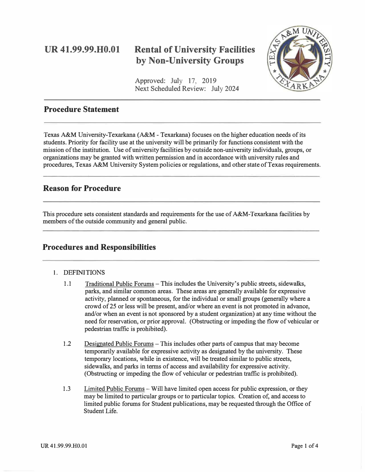# **UR 41.99.99.H0.01**

# **Rental of University Facilities by Non-University Groups**

Approved: July 17, 2019 Next Scheduled Review: July 2024



## **Procedure Statement**

Texas A&M University-Texarkana (A&M - Texarkana) focuses on the higher education needs of its students. Priority for facility use at the university will be primarily for functions consistent with the mission of the institution. Use of university facilities by outside non-university individuals, groups, or organizations may be granted with written permission and in accordance with university rules and procedures, Texas A&M University System policies or regulations, and other state of Texas requirements.

## **Reason for Procedure**

This procedure sets consistent standards and requirements for the use of A&M-Texarkana facilities by members of the outside community and general public.

## **Procedures and Responsibilities**

### 1. DEFINITIONS

- 1.1 Traditional Public Forums -This includes the University's public streets, sidewalks, parks, and similar common areas. These areas are generally available for expressive activity, planned or spontaneous, for the individual or small groups (generally where a crowd of 25 or less will be present, and/or where an event is not promoted in advance, and/or when an event is not sponsored by a student organization) at any time without the need for reservation, or prior approval. (Obstructing or impeding the flow of vehicular or pedestrian traffic is prohibited).
- 1.2 Designated Public Forums This includes other parts of campus that may become temporarily available for expressive activity as designated by the university. These temporary locations, while in existence, will be treated similar to public streets, sidewalks, and parks in terms of access and availability for expressive activity. (Obstructing or impeding the flow of vehicular or pedestrian traffic is prohibited).
- 1.3 Limited Public Forums Will have limited open access for public expression, or they may be limited to particular groups or to particular topics. Creation of, and access to limited public forums for Student publications, may be requested through the Office of Student Life.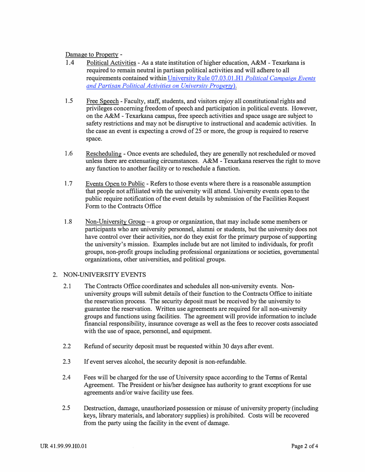Damage to Property -

- 1.4 Political Activities -As a state institution of higher education, A&M Texarkana is required to remain neutral in partisan political activities and will adhere to all requirements contained withi[n University Rule 07.03.01 .HI](http://tamut.edu/About/Administration/About/Rules/07-03-01-H1.pdf) *Political Campaign Events and Partisan Political Activities on University Property).*
- 1.5 Free Speech - Faculty, staff, students, and visitors enjoy all constitutional rights and privileges concerning freedom of speech and participation in political events. However, on the A&M -Texarkana campus, free speech activities and space usage are subject to safety restrictions and may not be disruptive to instructional and academic activities. In the case an event is expecting a crowd of 25 or more, the group is required to reserve space.
- 1.6 Rescheduling - Once events are scheduled, they are generally not rescheduled or moved unless there are extenuating circumstances. A&M - Texarkana reserves the right to move any function to another facility or to reschedule a function.
- 1. 7 Events Open to Public - Refers to those events where there is a reasonable assumption that people not affiliated with the university will attend. University events open to the public require notification ofthe event details by submission of the Facilities Request Form to the Contracts Office
- 1.8 Non-University Group – a group or organization, that may include some members or participants who are university personnel, alumni or students, but the university does not have control over their activities, nor do they exist for the primary purpose of supporting the university's mission. Examples include but are not limited to individuals, for profit groups, non-profit groups including professional organizations or societies, governmental organizations, other universities, and political groups.

### 2. NON-UNIVERSITY EVENTS

- 2.1 The Contracts Office coordinates and schedules all non-university events. Nonuniversity groups will submit details of their function to the Contracts Office to initiate the reservation process. The security deposit must be received by the university to guarantee the reservation. Written use agreements are required for all non-university groups and functions using facilities. The agreement will provide information to include financial responsibility, insurance coverage as well as the fees to recover costs associated with the use of space, personnel, and equipment.
- 2.2 Refund of security deposit must be requested within 30 days after event.
- 2.3 If event serves alcohol, the security deposit is non-refundable.
- 2.4 Fees will be charged for the use of University space according to the Terms of Rental Agreement. The President or his/her designee has authority to grant exceptions for use agreements and/or waive facility use fees.
- 2.5 Destruction, damage, unauthorized possession or misuse of university property (including keys, library materials, and laboratory supplies) is prohibited. Costs will be recovered from the party using the facility in the event of damage.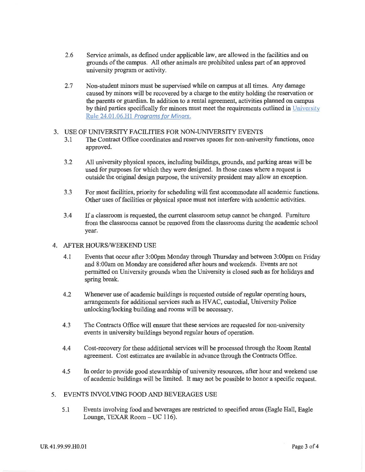- $2.6$ Service animals, as defined under applicable law, are allowed in the facilities and on grounds of the campus. All other animals are prohibited unless part of an approved university program or activity.
- $2.7$ Non-student minors must be supervised while on campus at all times. Any damage caused by minors will be recovered by a charge to the entity holding the reservation or the parents or guardian. In addition to a rental agreement, activities planned on campus by third parties specifically for minors must meet the requirements outlined in University Rule 24.01.06.H1 Programs for Minors.

#### 3. USE OF UNIVERSITY FACILITIES FOR NON-UNIVERSITY EVENTS

- The Contract Office coordinates and reserves spaces for non-university functions, once  $3.1$ approved.
- $3.2$ All university physical spaces, including buildings, grounds, and parking areas will be used for purposes for which they were designed. In those cases where a request is outside the original design purpose, the university president may allow an exception.
- $3.3$ For most facilities, priority for scheduling will first accommodate all academic functions. Other uses of facilities or physical space must not interfere with academic activities.
- $3.4$ If a classroom is requested, the current classroom setup cannot be changed. Furniture from the classrooms cannot be removed from the classrooms during the academic school vear.

#### 4. AFTER HOURS/WEEKEND USE

- $4.1$ Events that occur after 3:00pm Monday through Thursday and between 3:00pm on Friday and 8:00am on Monday are considered after hours and weekends. Events are not permitted on University grounds when the University is closed such as for holidays and spring break.
- $4.2$ Whenever use of academic buildings is requested outside of regular operating hours, arrangements for additional services such as HVAC, custodial, University Police unlocking/locking building and rooms will be necessary.
- $4.3$ The Contracts Office will ensure that these services are requested for non-university events in university buildings beyond regular hours of operation.
- Cost-recovery for these additional services will be processed through the Room Rental 4.4 agreement. Cost estimates are available in advance through the Contracts Office.
- 4.5 In order to provide good stewardship of university resources, after hour and weekend use of academic buildings will be limited. It may not be possible to honor a specific request.

#### EVENTS INVOLVING FOOD AND BEVERAGES USE 5.

5.1 Events involving food and beverages are restricted to specified areas (Eagle Hall, Eagle Lounge, TEXAR Room - UC 116).